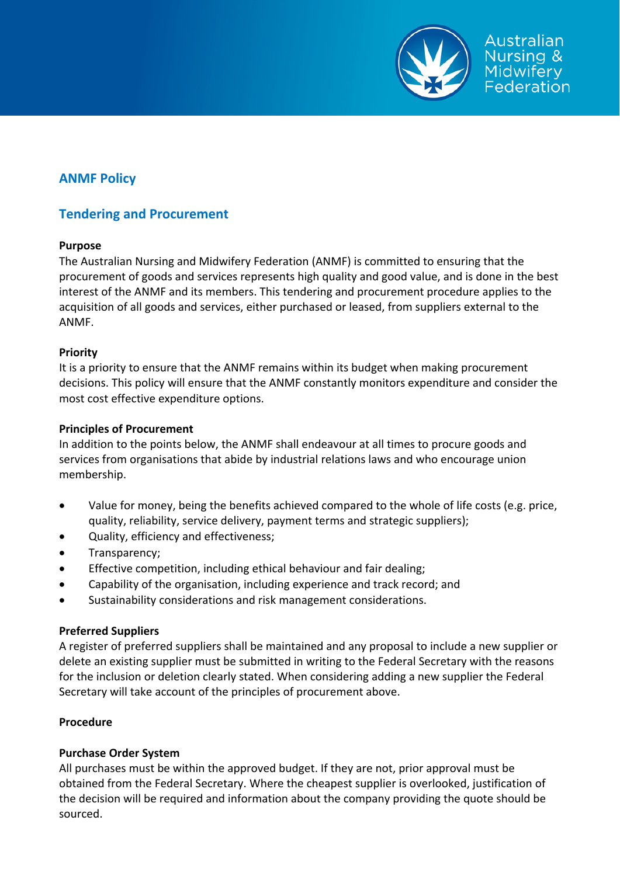

# **ANMF Policy**

# **Tendering and Procurement**

### **Purpose**

The Australian Nursing and Midwifery Federation (ANMF) is committed to ensuring that the procurement of goods and services represents high quality and good value, and is done in the best interest of the ANMF and its members. This tendering and procurement procedure applies to the acquisition of all goods and services, either purchased or leased, from suppliers external to the ANMF.

## **Priority**

It is a priority to ensure that the ANMF remains within its budget when making procurement decisions. This policy will ensure that the ANMF constantly monitors expenditure and consider the most cost effective expenditure options.

### **Principles of Procurement**

In addition to the points below, the ANMF shall endeavour at all times to procure goods and services from organisations that abide by industrial relations laws and who encourage union membership.

- Value for money, being the benefits achieved compared to the whole of life costs (e.g. price, quality, reliability, service delivery, payment terms and strategic suppliers);
- Quality, efficiency and effectiveness;
- Transparency;
- Effective competition, including ethical behaviour and fair dealing;
- Capability of the organisation, including experience and track record; and
- Sustainability considerations and risk management considerations.

### **Preferred Suppliers**

A register of preferred suppliers shall be maintained and any proposal to include a new supplier or delete an existing supplier must be submitted in writing to the Federal Secretary with the reasons for the inclusion or deletion clearly stated. When considering adding a new supplier the Federal Secretary will take account of the principles of procurement above.

### **Procedure**

### **Purchase Order System**

All purchases must be within the approved budget. If they are not, prior approval must be obtained from the Federal Secretary. Where the cheapest supplier is overlooked, justification of the decision will be required and information about the company providing the quote should be sourced.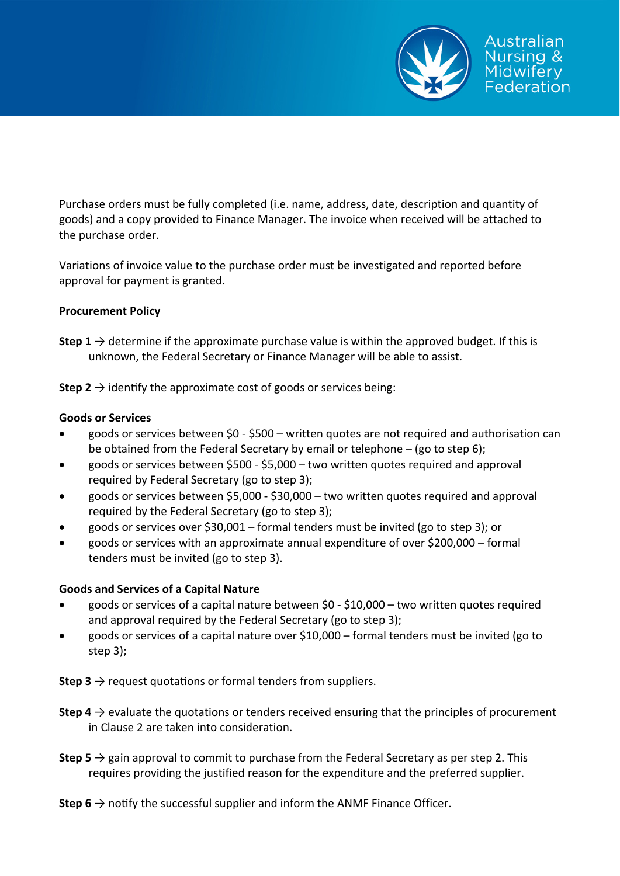

Purchase orders must be fully completed (i.e. name, address, date, description and quantity of goods) and a copy provided to Finance Manager. The invoice when received will be attached to the purchase order.

Variations of invoice value to the purchase order must be investigated and reported before approval for payment is granted.

#### **Procurement Policy**

**Step 1**  $\rightarrow$  determine if the approximate purchase value is within the approved budget. If this is unknown, the Federal Secretary or Finance Manager will be able to assist.

**Step 2**  $\rightarrow$  identify the approximate cost of goods or services being:

#### **Goods or Services**

- goods or services between \$0 ‐ \$500 written quotes are not required and authorisation can be obtained from the Federal Secretary by email or telephone – (go to step 6);
- goods or services between \$500 \$5,000 two written quotes required and approval required by Federal Secretary (go to step 3);
- goods or services between \$5,000 ‐ \$30,000 two written quotes required and approval required by the Federal Secretary (go to step 3);
- goods or services over \$30,001 formal tenders must be invited (go to step 3); or
- goods or services with an approximate annual expenditure of over \$200,000 formal tenders must be invited (go to step 3).

### **Goods and Services of a Capital Nature**

- goods or services of a capital nature between \$0 \$10,000 two written quotes required and approval required by the Federal Secretary (go to step 3);
- goods or services of a capital nature over \$10,000 formal tenders must be invited (go to step 3);

**Step 3**  $\rightarrow$  request quotations or formal tenders from suppliers.

- **Step 4**  $\rightarrow$  evaluate the quotations or tenders received ensuring that the principles of procurement in Clause 2 are taken into consideration.
- **Step 5**  $\rightarrow$  gain approval to commit to purchase from the Federal Secretary as per step 2. This requires providing the justified reason for the expenditure and the preferred supplier.

**Step 6**  $\rightarrow$  notify the successful supplier and inform the ANMF Finance Officer.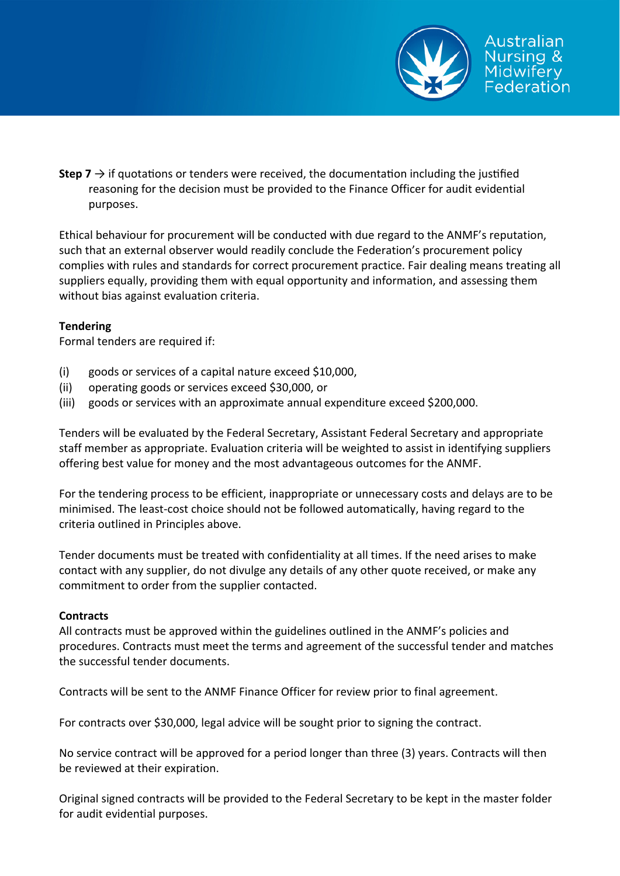

**Step**  $7 \rightarrow$  if quotations or tenders were received, the documentation including the justified reasoning for the decision must be provided to the Finance Officer for audit evidential purposes.

Ethical behaviour for procurement will be conducted with due regard to the ANMF's reputation, such that an external observer would readily conclude the Federation's procurement policy complies with rules and standards for correct procurement practice. Fair dealing means treating all suppliers equally, providing them with equal opportunity and information, and assessing them without bias against evaluation criteria.

### **Tendering**

Formal tenders are required if:

- (i) goods or services of a capital nature exceed \$10,000,
- (ii) operating goods or services exceed \$30,000, or
- (iii) goods or services with an approximate annual expenditure exceed \$200,000.

Tenders will be evaluated by the Federal Secretary, Assistant Federal Secretary and appropriate staff member as appropriate. Evaluation criteria will be weighted to assist in identifying suppliers offering best value for money and the most advantageous outcomes for the ANMF.

For the tendering process to be efficient, inappropriate or unnecessary costs and delays are to be minimised. The least‐cost choice should not be followed automatically, having regard to the criteria outlined in Principles above.

Tender documents must be treated with confidentiality at all times. If the need arises to make contact with any supplier, do not divulge any details of any other quote received, or make any commitment to order from the supplier contacted.

### **Contracts**

All contracts must be approved within the guidelines outlined in the ANMF's policies and procedures. Contracts must meet the terms and agreement of the successful tender and matches the successful tender documents.

Contracts will be sent to the ANMF Finance Officer for review prior to final agreement.

For contracts over \$30,000, legal advice will be sought prior to signing the contract.

No service contract will be approved for a period longer than three (3) years. Contracts will then be reviewed at their expiration.

Original signed contracts will be provided to the Federal Secretary to be kept in the master folder for audit evidential purposes.